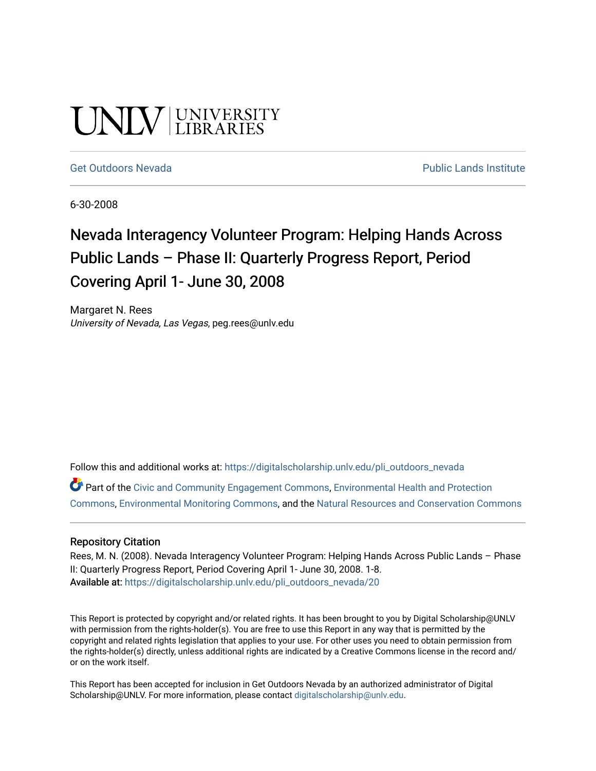# UNIV UNIVERSITY

#### [Get Outdoors Nevada](https://digitalscholarship.unlv.edu/pli_outdoors_nevada) **Public Lands Institute** Public Lands Institute

6-30-2008

## Nevada Interagency Volunteer Program: Helping Hands Across Public Lands – Phase II: Quarterly Progress Report, Period Covering April 1- June 30, 2008

Margaret N. Rees University of Nevada, Las Vegas, peg.rees@unlv.edu

Follow this and additional works at: [https://digitalscholarship.unlv.edu/pli\\_outdoors\\_nevada](https://digitalscholarship.unlv.edu/pli_outdoors_nevada?utm_source=digitalscholarship.unlv.edu%2Fpli_outdoors_nevada%2F20&utm_medium=PDF&utm_campaign=PDFCoverPages)

Part of the [Civic and Community Engagement Commons](http://network.bepress.com/hgg/discipline/1028?utm_source=digitalscholarship.unlv.edu%2Fpli_outdoors_nevada%2F20&utm_medium=PDF&utm_campaign=PDFCoverPages), [Environmental Health and Protection](http://network.bepress.com/hgg/discipline/172?utm_source=digitalscholarship.unlv.edu%2Fpli_outdoors_nevada%2F20&utm_medium=PDF&utm_campaign=PDFCoverPages)  [Commons](http://network.bepress.com/hgg/discipline/172?utm_source=digitalscholarship.unlv.edu%2Fpli_outdoors_nevada%2F20&utm_medium=PDF&utm_campaign=PDFCoverPages), [Environmental Monitoring Commons,](http://network.bepress.com/hgg/discipline/931?utm_source=digitalscholarship.unlv.edu%2Fpli_outdoors_nevada%2F20&utm_medium=PDF&utm_campaign=PDFCoverPages) and the [Natural Resources and Conservation Commons](http://network.bepress.com/hgg/discipline/168?utm_source=digitalscholarship.unlv.edu%2Fpli_outdoors_nevada%2F20&utm_medium=PDF&utm_campaign=PDFCoverPages)

#### Repository Citation

Rees, M. N. (2008). Nevada Interagency Volunteer Program: Helping Hands Across Public Lands - Phase II: Quarterly Progress Report, Period Covering April 1- June 30, 2008. 1-8. Available at: [https://digitalscholarship.unlv.edu/pli\\_outdoors\\_nevada/20](https://digitalscholarship.unlv.edu/pli_outdoors_nevada/20) 

This Report is protected by copyright and/or related rights. It has been brought to you by Digital Scholarship@UNLV with permission from the rights-holder(s). You are free to use this Report in any way that is permitted by the copyright and related rights legislation that applies to your use. For other uses you need to obtain permission from the rights-holder(s) directly, unless additional rights are indicated by a Creative Commons license in the record and/ or on the work itself.

This Report has been accepted for inclusion in Get Outdoors Nevada by an authorized administrator of Digital Scholarship@UNLV. For more information, please contact [digitalscholarship@unlv.edu.](mailto:digitalscholarship@unlv.edu)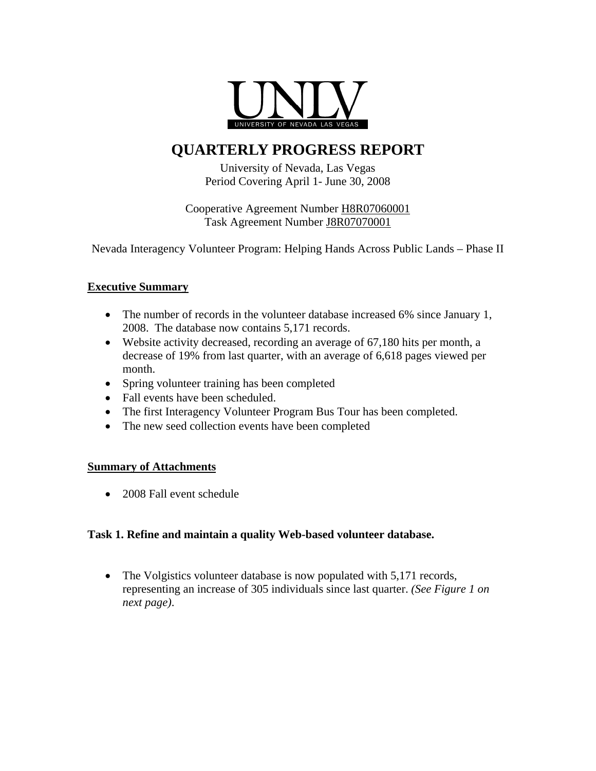

### **QUARTERLY PROGRESS REPORT**

University of Nevada, Las Vegas Period Covering April 1- June 30, 2008

Cooperative Agreement Number H8R07060001 Task Agreement Number J8R07070001

Nevada Interagency Volunteer Program: Helping Hands Across Public Lands – Phase II

#### **Executive Summary**

- The number of records in the volunteer database increased 6% since January 1, 2008. The database now contains 5,171 records.
- Website activity decreased, recording an average of 67,180 hits per month, a decrease of 19% from last quarter, with an average of 6,618 pages viewed per month.
- Spring volunteer training has been completed
- Fall events have been scheduled.
- The first Interagency Volunteer Program Bus Tour has been completed.
- The new seed collection events have been completed

#### **Summary of Attachments**

• 2008 Fall event schedule

#### **Task 1. Refine and maintain a quality Web-based volunteer database.**

• The Volgistics volunteer database is now populated with 5,171 records, representing an increase of 305 individuals since last quarter. *(See Figure 1 on next page)*.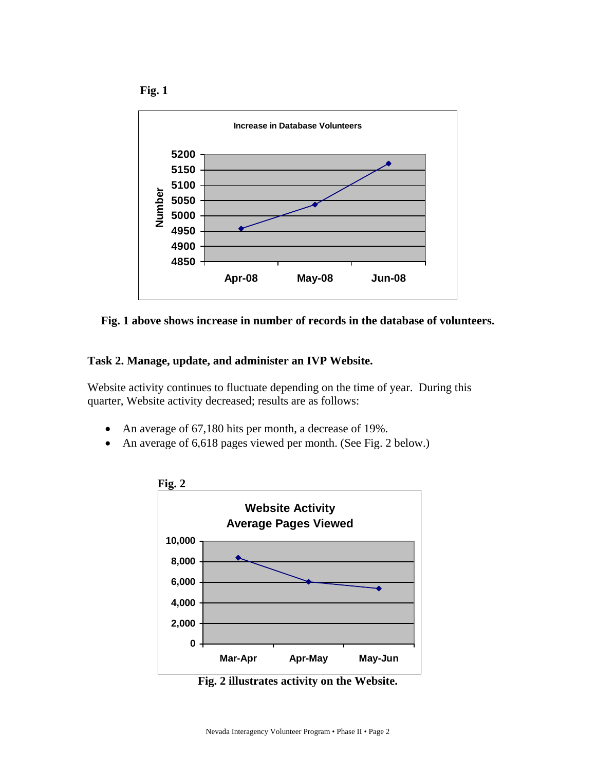





#### **Task 2. Manage, update, and administer an IVP Website.**

Website activity continues to fluctuate depending on the time of year. During this quarter, Website activity decreased; results are as follows:

- An average of 67,180 hits per month, a decrease of 19%.
- An average of 6,618 pages viewed per month. (See Fig. 2 below.)



**Fig. 2 illustrates activity on the Website.**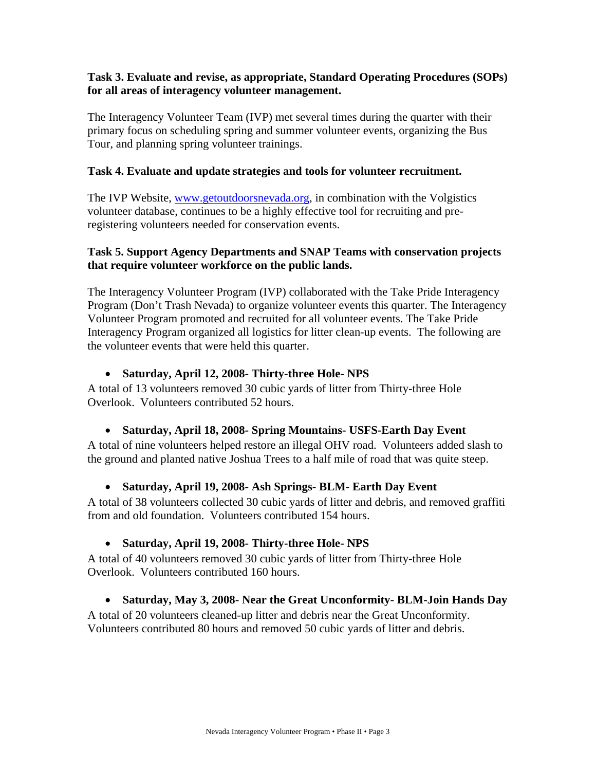#### **Task 3. Evaluate and revise, as appropriate, Standard Operating Procedures (SOPs) for all areas of interagency volunteer management.**

The Interagency Volunteer Team (IVP) met several times during the quarter with their primary focus on scheduling spring and summer volunteer events, organizing the Bus Tour, and planning spring volunteer trainings.

#### **Task 4. Evaluate and update strategies and tools for volunteer recruitment.**

The IVP Website, [www.getoutdoorsnevada.org,](http://www.getoutdoorsnevada.org/) in combination with the Volgistics volunteer database, continues to be a highly effective tool for recruiting and preregistering volunteers needed for conservation events.

#### **Task 5. Support Agency Departments and SNAP Teams with conservation projects that require volunteer workforce on the public lands.**

The Interagency Volunteer Program (IVP) collaborated with the Take Pride Interagency Program (Don't Trash Nevada) to organize volunteer events this quarter. The Interagency Volunteer Program promoted and recruited for all volunteer events. The Take Pride Interagency Program organized all logistics for litter clean-up events. The following are the volunteer events that were held this quarter.

#### • **Saturday, April 12, 2008- Thirty-three Hole- NPS**

A total of 13 volunteers removed 30 cubic yards of litter from Thirty-three Hole Overlook. Volunteers contributed 52 hours.

#### • **Saturday, April 18, 2008- Spring Mountains- USFS-Earth Day Event**

A total of nine volunteers helped restore an illegal OHV road. Volunteers added slash to the ground and planted native Joshua Trees to a half mile of road that was quite steep.

#### • **Saturday, April 19, 2008- Ash Springs- BLM- Earth Day Event**

A total of 38 volunteers collected 30 cubic yards of litter and debris, and removed graffiti from and old foundation. Volunteers contributed 154 hours.

#### • **Saturday, April 19, 2008- Thirty-three Hole- NPS**

A total of 40 volunteers removed 30 cubic yards of litter from Thirty-three Hole Overlook. Volunteers contributed 160 hours.

#### • **Saturday, May 3, 2008- Near the Great Unconformity- BLM-Join Hands Day**

A total of 20 volunteers cleaned-up litter and debris near the Great Unconformity. Volunteers contributed 80 hours and removed 50 cubic yards of litter and debris.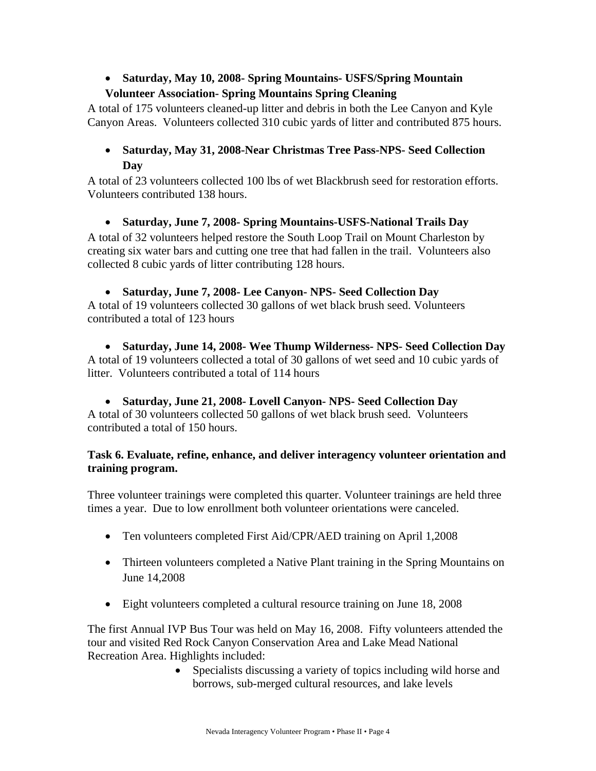#### • **Saturday, May 10, 2008- Spring Mountains- USFS/Spring Mountain**

#### **Volunteer Association- Spring Mountains Spring Cleaning**

A total of 175 volunteers cleaned-up litter and debris in both the Lee Canyon and Kyle Canyon Areas. Volunteers collected 310 cubic yards of litter and contributed 875 hours.

#### • **Saturday, May 31, 2008-Near Christmas Tree Pass-NPS- Seed Collection Day**

A total of 23 volunteers collected 100 lbs of wet Blackbrush seed for restoration efforts. Volunteers contributed 138 hours.

• **Saturday, June 7, 2008- Spring Mountains-USFS-National Trails Day**  A total of 32 volunteers helped restore the South Loop Trail on Mount Charleston by creating six water bars and cutting one tree that had fallen in the trail. Volunteers also collected 8 cubic yards of litter contributing 128 hours.

#### • **Saturday, June 7, 2008- Lee Canyon- NPS- Seed Collection Day**

A total of 19 volunteers collected 30 gallons of wet black brush seed. Volunteers contributed a total of 123 hours

• **Saturday, June 14, 2008- Wee Thump Wilderness- NPS- Seed Collection Day**  A total of 19 volunteers collected a total of 30 gallons of wet seed and 10 cubic yards of litter. Volunteers contributed a total of 114 hours

#### • **Saturday, June 21, 2008- Lovell Canyon- NPS- Seed Collection Day**

A total of 30 volunteers collected 50 gallons of wet black brush seed. Volunteers contributed a total of 150 hours.

#### **Task 6. Evaluate, refine, enhance, and deliver interagency volunteer orientation and training program.**

Three volunteer trainings were completed this quarter. Volunteer trainings are held three times a year. Due to low enrollment both volunteer orientations were canceled.

- Ten volunteers completed First Aid/CPR/AED training on April 1,2008
- Thirteen volunteers completed a Native Plant training in the Spring Mountains on June 14,2008
- Eight volunteers completed a cultural resource training on June 18, 2008

The first Annual IVP Bus Tour was held on May 16, 2008. Fifty volunteers attended the tour and visited Red Rock Canyon Conservation Area and Lake Mead National Recreation Area. Highlights included:

• Specialists discussing a variety of topics including wild horse and borrows, sub-merged cultural resources, and lake levels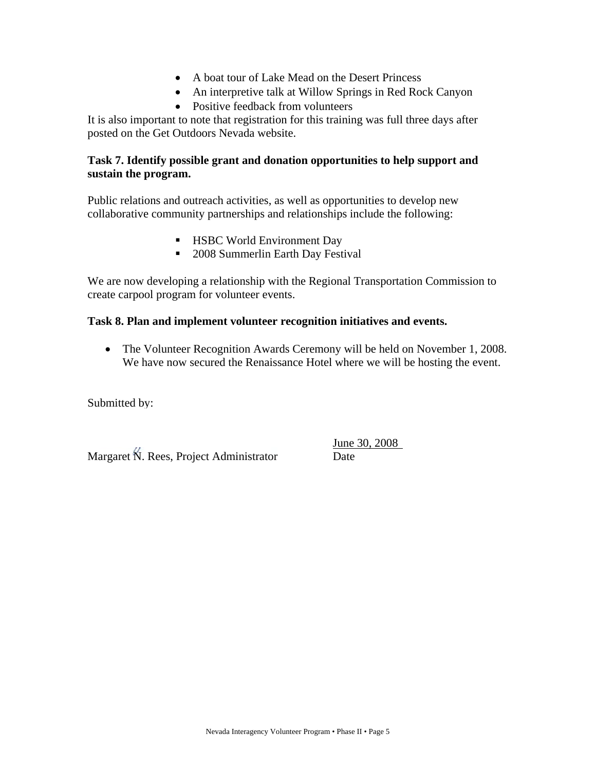- A boat tour of Lake Mead on the Desert Princess
- An interpretive talk at Willow Springs in Red Rock Canyon
- Positive feedback from volunteers

It is also important to note that registration for this training was full three days after posted on the Get Outdoors Nevada website.

#### **Task 7. Identify possible grant and donation opportunities to help support and sustain the program.**

Public relations and outreach activities, as well as opportunities to develop new collaborative community partnerships and relationships include the following:

- **HSBC World Environment Day**
- 2008 Summerlin Earth Day Festival

We are now developing a relationship with the Regional Transportation Commission to create carpool program for volunteer events.

#### **Task 8. Plan and implement volunteer recognition initiatives and events.**

• The Volunteer Recognition Awards Ceremony will be held on November 1, 2008. We have now secured the Renaissance Hotel where we will be hosting the event.

Submitted by:

Margaret N. Rees, Project Administrator Date

June 30, 2008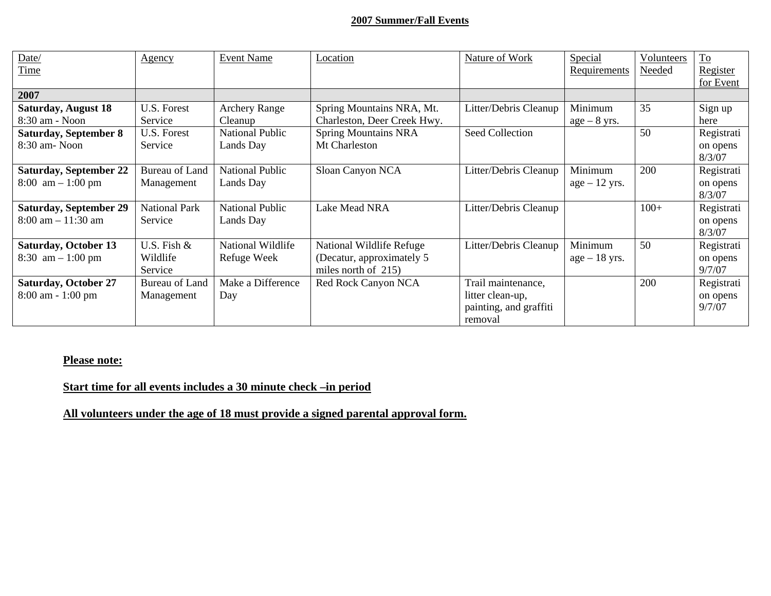#### **2007 Summer/Fall Events**

| Date/                               | <u>Agency</u>         | <b>Event Name</b>      | Location                    | Nature of Work         | Special         | Volunteers | $\underline{\operatorname{To}}$ |
|-------------------------------------|-----------------------|------------------------|-----------------------------|------------------------|-----------------|------------|---------------------------------|
| Time                                |                       |                        |                             |                        | Requirements    | Needed     | Register                        |
|                                     |                       |                        |                             |                        |                 |            | for Event                       |
| 2007                                |                       |                        |                             |                        |                 |            |                                 |
| <b>Saturday, August 18</b>          | U.S. Forest           | <b>Archery Range</b>   | Spring Mountains NRA, Mt.   | Litter/Debris Cleanup  | Minimum         | 35         | Sign up                         |
| 8:30 am - Noon                      | Service               | Cleanup                | Charleston, Deer Creek Hwy. |                        | $age - 8 yrs.$  |            | here                            |
| <b>Saturday, September 8</b>        | U.S. Forest           | <b>National Public</b> | <b>Spring Mountains NRA</b> | <b>Seed Collection</b> |                 | 50         | Registrati                      |
| 8:30 am- Noon                       | Service               | Lands Day              | Mt Charleston               |                        |                 |            | on opens                        |
|                                     |                       |                        |                             |                        |                 |            | 8/3/07                          |
| <b>Saturday, September 22</b>       | Bureau of Land        | <b>National Public</b> | Sloan Canyon NCA            | Litter/Debris Cleanup  | Minimum         | 200        | Registrati                      |
| $8:00 \text{ am} - 1:00 \text{ pm}$ | Management            | Lands Day              |                             |                        | $age - 12 yrs.$ |            | on opens                        |
|                                     |                       |                        |                             |                        |                 |            | 8/3/07                          |
| <b>Saturday, September 29</b>       | <b>National Park</b>  | <b>National Public</b> | Lake Mead NRA               | Litter/Debris Cleanup  |                 | $100+$     | Registrati                      |
| $8:00$ am $-11:30$ am               | Service               | Lands Day              |                             |                        |                 |            | on opens                        |
|                                     |                       |                        |                             |                        |                 |            | 8/3/07                          |
| <b>Saturday, October 13</b>         | U.S. Fish $&$         | National Wildlife      | National Wildlife Refuge    | Litter/Debris Cleanup  | Minimum         | 50         | Registrati                      |
| 8:30 $am - 1:00 pm$                 | Wildlife              | Refuge Week            | (Decatur, approximately 5)  |                        | $age - 18$ yrs. |            | on opens                        |
|                                     | Service               |                        | miles north of $215$ )      |                        |                 |            | 9/7/07                          |
| <b>Saturday, October 27</b>         | <b>Bureau of Land</b> | Make a Difference      | Red Rock Canyon NCA         | Trail maintenance,     |                 | 200        | Registrati                      |
| 8:00 am - 1:00 pm                   | Management            | Day                    |                             | litter clean-up,       |                 |            | on opens                        |
|                                     |                       |                        |                             | painting, and graffiti |                 |            | 9/7/07                          |
|                                     |                       |                        |                             | removal                |                 |            |                                 |

#### **Please note:**

**Start time for all events includes a 30 minute check –in period**

**All volunteers under the age of 18 must provide a signed parental approval form.**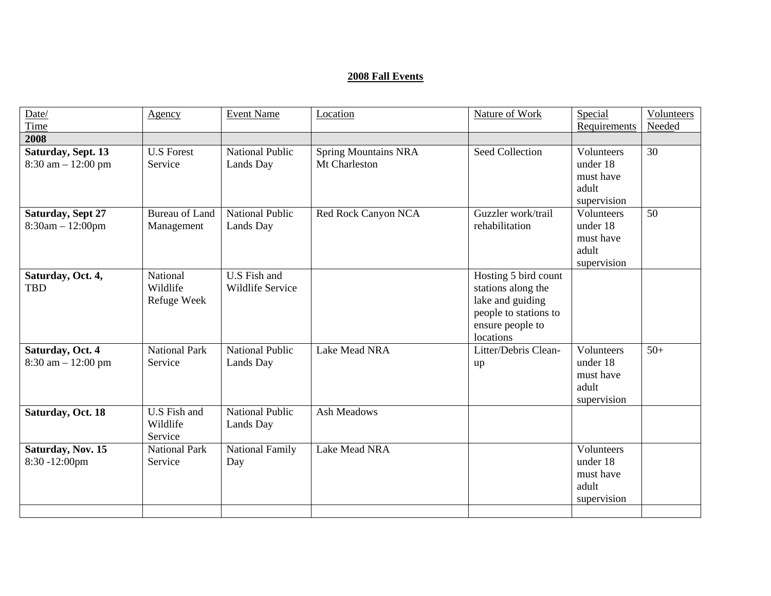#### **2008 Fall Events**

| Date/                    | Agency                | <b>Event Name</b>      | Location                    | Nature of Work         | Special            | Volunteers |
|--------------------------|-----------------------|------------------------|-----------------------------|------------------------|--------------------|------------|
| Time                     |                       |                        |                             |                        | Requirements       | Needed     |
| 2008                     |                       |                        |                             |                        |                    |            |
| Saturday, Sept. 13       | <b>U.S Forest</b>     | <b>National Public</b> | <b>Spring Mountains NRA</b> | <b>Seed Collection</b> | Volunteers         | 30         |
| $8:30$ am $-12:00$ pm    | Service               | Lands Day              | Mt Charleston               |                        | under 18           |            |
|                          |                       |                        |                             |                        | must have          |            |
|                          |                       |                        |                             |                        | adult              |            |
|                          |                       | <b>National Public</b> |                             |                        | supervision        |            |
| <b>Saturday, Sept 27</b> | <b>Bureau of Land</b> |                        | Red Rock Canyon NCA         | Guzzler work/trail     | Volunteers         | 50         |
| $8:30am - 12:00pm$       | Management            | Lands Day              |                             | rehabilitation         | under 18           |            |
|                          |                       |                        |                             |                        | must have<br>adult |            |
|                          |                       |                        |                             |                        | supervision        |            |
| Saturday, Oct. 4,        | National              | U.S Fish and           |                             | Hosting 5 bird count   |                    |            |
| <b>TBD</b>               | Wildlife              | Wildlife Service       |                             | stations along the     |                    |            |
|                          | Refuge Week           |                        |                             | lake and guiding       |                    |            |
|                          |                       |                        |                             | people to stations to  |                    |            |
|                          |                       |                        |                             | ensure people to       |                    |            |
|                          |                       |                        |                             | locations              |                    |            |
| Saturday, Oct. 4         | <b>National Park</b>  | <b>National Public</b> | Lake Mead NRA               | Litter/Debris Clean-   | Volunteers         | $50+$      |
| $8:30$ am $-12:00$ pm    | Service               | Lands Day              |                             | up                     | under 18           |            |
|                          |                       |                        |                             |                        | must have          |            |
|                          |                       |                        |                             |                        | adult              |            |
|                          |                       |                        |                             |                        | supervision        |            |
| Saturday, Oct. 18        | U.S Fish and          | <b>National Public</b> | Ash Meadows                 |                        |                    |            |
|                          | Wildlife              | Lands Day              |                             |                        |                    |            |
|                          | Service               |                        |                             |                        |                    |            |
| Saturday, Nov. 15        | <b>National Park</b>  | National Family        | Lake Mead NRA               |                        | Volunteers         |            |
| 8:30 -12:00pm            | Service               | Day                    |                             |                        | under 18           |            |
|                          |                       |                        |                             |                        | must have          |            |
|                          |                       |                        |                             |                        | adult              |            |
|                          |                       |                        |                             |                        | supervision        |            |
|                          |                       |                        |                             |                        |                    |            |